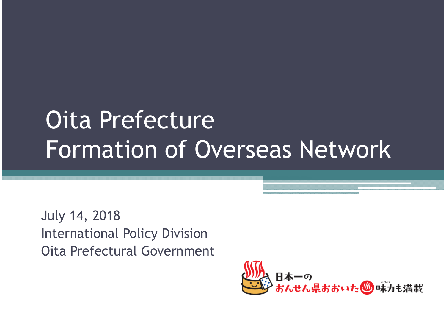# Oita Prefecture Formation of Overseas Network

July 14, 2018 International Policy Division Oita Prefectural Government

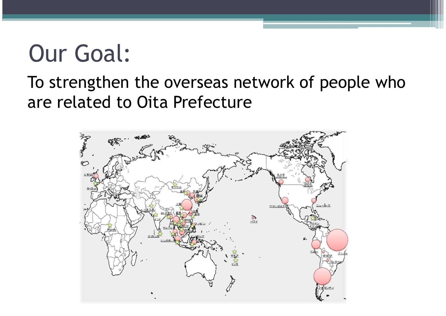### Our Goal:

### To strengthen the overseas network of people who are related to Oita Prefecture

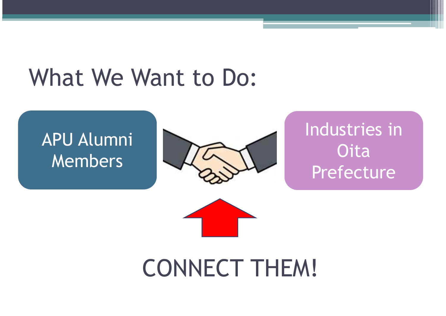### What We Want to Do:

### APU Alumni Members



Industries in **Oita** Prefecture



CONNECT THEM!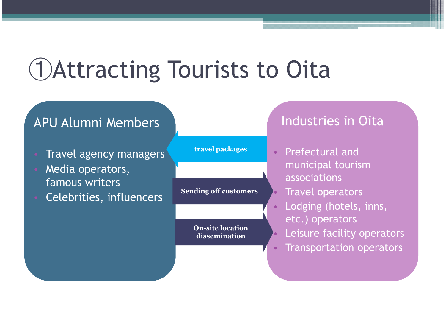## ➀Attracting Tourists to Oita

#### APU Alumni Members

- **Travel agency managers**
- Media operators, famous writers
- Celebrities, influencers

**travel packages**

**Sending off customers**

**On-site location dissemination**

Industries in Oita

- Prefectural and municipal tourism associations
- Travel operators
- Lodging (hotels, inns, etc.) operators
- Leisure facility operators
- Transportation operators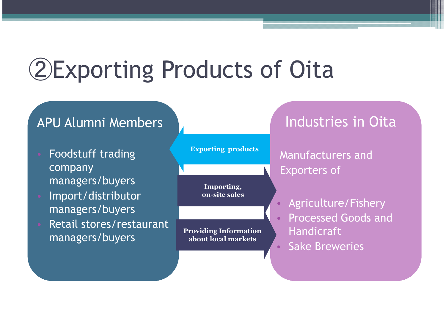## ➁Exporting Products of Oita

#### APU Alumni Members

- Foodstuff trading company managers/buyers
- Import/distributor managers/buyers
- Retail stores/restaurant managers/buyers

**Exporting products**

**Importing, on-site sales**

**Providing Information about local markets**

Industries in Oita

Manufacturers and Exporters of

- Agriculture/Fishery • Processed Goods and Handicraft
- Sake Breweries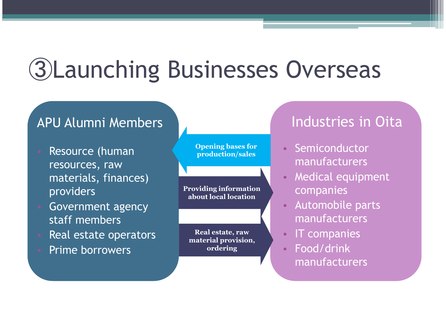# ➂Launching Businesses Overseas

#### APU Alumni Members

- Resource (human resources, raw materials, finances) providers
- Government agency staff members
- Real estate operators
- Prime borrowers

**Opening bases for production/sales**

**Providing information about local location**

**Real estate, raw material provision, ordering**

#### Industries in Oita

- **Semiconductor** manufacturers
- Medical equipment companies
- Automobile parts manufacturers
- IT companies
	- Food/drink manufacturers